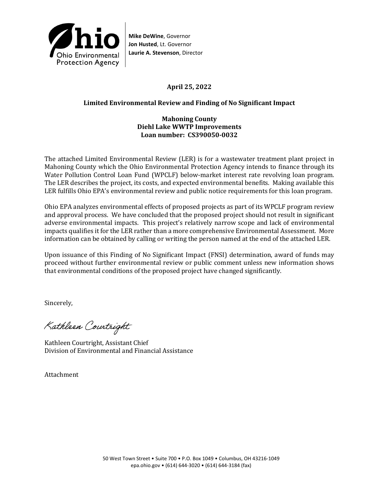

# **April 25, 2022**

## **Limited Environmental Review and Finding of No Significant Impact**

### **Mahoning County Diehl Lake WWTP Improvements Loan number: CS390050-0032**

The attached Limited Environmental Review (LER) is for a wastewater treatment plant project in Mahoning County which the Ohio Environmental Protection Agency intends to finance through its Water Pollution Control Loan Fund (WPCLF) below-market interest rate revolving loan program. The LER describes the project, its costs, and expected environmental benefits. Making available this LER fulfills Ohio EPA's environmental review and public notice requirements for this loan program.

Ohio EPA analyzes environmental effects of proposed projects as part of its WPCLF program review and approval process. We have concluded that the proposed project should not result in significant adverse environmental impacts. This project's relatively narrow scope and lack of environmental impacts qualifies it for the LER rather than a more comprehensive Environmental Assessment. More information can be obtained by calling or writing the person named at the end of the attached LER.

Upon issuance of this Finding of No Significant Impact (FNSI) determination, award of funds may proceed without further environmental review or public comment unless new information shows that environmental conditions of the proposed project have changed significantly.

Sincerely,

Kathleen Courtright

Kathleen Courtright, Assistant Chief Division of Environmental and Financial Assistance

Attachment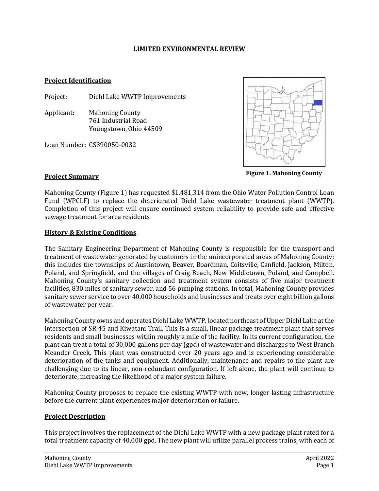#### **LIMITED ENVIRONMENTAL REVIEW**

#### **Project Identification**

Project: Diehl Lake WWTP Improvements

Applicant: Mahoning County 761 Industrial Road Youngstown, Ohio 44509

Loan Number: CS390050-0032



**Figure 1. Mahoning County**

### **Project Summary**

Mahoning County (Figure 1) has requested \$1,481,314 from the Ohio Water Pollution Control Loan Fund (WPCLF) to replace the deteriorated Diehl Lake wastewater treatment plant (WWTP). Completion of this project will ensure continued system reliability to provide safe and effective sewage treatment for area residents.

### **History & Existing Conditions**

The Sanitary Engineering Department of Mahoning County is responsible for the transport and treatment of wastewater generated by customers in the unincorporated areas of Mahoning County; this includes the townships of Austintown, Beaver, Boardman, Coitsville, Canfield, Jackson, Milton, Poland, and Springfield, and the villages of Craig Beach, New Middletown, Poland, and Campbell. Mahoning County's sanitary collection and treatment system consists of five major treatment facilities, 830 miles of sanitary sewer, and 56 pumping stations. In total, Mahoning County provides sanitary sewer service to over 40,000 households and businesses and treats over eight billion gallons of wastewater per year.

Mahoning County owns and operates Diehl Lake WWTP, located northeast of Upper Diehl Lake at the intersection of SR 45 and Kiwatani Trail. This is a small, linear package treatment plant that serves residents and small businesses within roughly a mile of the facility. In its current configuration, the plant can treat a total of 30,000 gallons per day (gpd) of wastewater and discharges to West Branch Meander Creek. This plant was constructed over 20 years ago and is experiencing considerable deterioration of the tanks and equipment. Additionally, maintenance and repairs to the plant are challenging due to its linear, non-redundant configuration. If left alone, the plant will continue to deteriorate, increasing the likelihood of a major system failure.

Mahoning County proposes to replace the existing WWTP with new, longer lasting infrastructure before the current plant experiences major deterioration or failure.

### **Project Description**

This project involves the replacement of the Diehl Lake WWTP with a new package plant rated for a total treatment capacity of 40,000 gpd. The new plant will utilize parallel process trains, with each of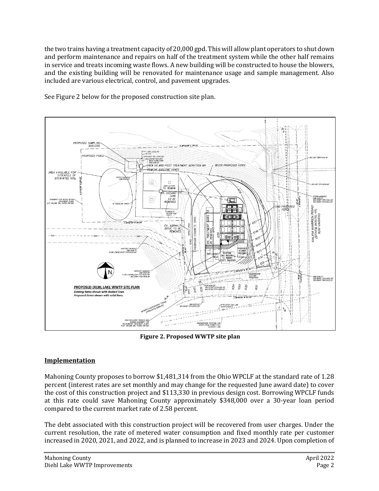the two trains having a treatment capacity of 20,000 gpd. This will allow plant operators to shut down and perform maintenance and repairs on half of the treatment system while the other half remains in service and treats incoming waste flows. A new building will be constructed to house the blowers, and the existing building will be renovated for maintenance usage and sample management. Also included are various electrical, control, and pavement upgrades.



See Figure 2 below for the proposed construction site plan.

**Figure 2. Proposed WWTP site plan**

# **Implementation**

Mahoning County proposes to borrow \$1,481,314 from the Ohio WPCLF at the standard rate of 1.28 percent (interest rates are set monthly and may change for the requested June award date) to cover the cost of this construction project and \$113,330 in previous design cost. Borrowing WPCLF funds at this rate could save Mahoning County approximately \$348,000 over a 30-year loan period compared to the current market rate of 2.58 percent.

The debt associated with this construction project will be recovered from user charges. Under the current resolution, the rate of metered water consumption and fixed monthly rate per customer increased in 2020, 2021, and 2022, and is planned to increase in 2023 and 2024. Upon completion of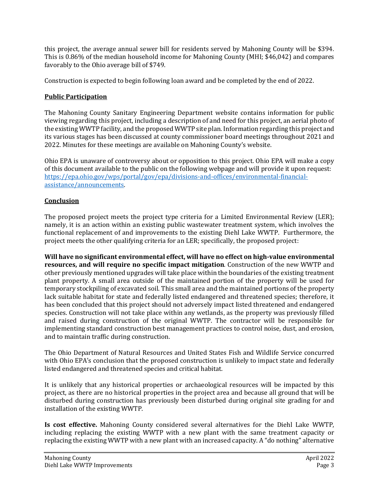this project, the average annual sewer bill for residents served by Mahoning County will be \$394. This is 0.86% of the median household income for Mahoning County (MHI; \$46,042) and compares favorably to the Ohio average bill of \$749.

Construction is expected to begin following loan award and be completed by the end of 2022.

## **Public Participation**

The Mahoning County Sanitary Engineering Department website contains information for public viewing regarding this project, including a description of and need for this project, an aerial photo of the existing WWTP facility, and the proposed WWTP site plan. Information regarding this project and its various stages has been discussed at county commissioner board meetings throughout 2021 and 2022. Minutes for these meetings are available on Mahoning County's website.

Ohio EPA is unaware of controversy about or opposition to this project. Ohio EPA will make a copy of this document available to the public on the following webpage and will provide it upon request: [https://epa.ohio.gov/wps/portal/gov/epa/divisions-and-offices/environmental-financial](https://epa.ohio.gov/wps/portal/gov/epa/divisions-and-offices/environmental-financial-assistance/announcements)[assistance/announcements.](https://epa.ohio.gov/wps/portal/gov/epa/divisions-and-offices/environmental-financial-assistance/announcements)

# **Conclusion**

The proposed project meets the project type criteria for a Limited Environmental Review (LER); namely, it is an action within an existing public wastewater treatment system, which involves the functional replacement of and improvements to the existing Diehl Lake WWTP. Furthermore, the project meets the other qualifying criteria for an LER; specifically, the proposed project:

**Will have no significant environmental effect, will have no effect on high-value environmental resources, and will require no specific impact mitigation***.* Construction of the new WWTP and other previously mentioned upgrades will take place within the boundaries of the existing treatment plant property. A small area outside of the maintained portion of the property will be used for temporary stockpiling of excavated soil. This small area and the maintained portions of the property lack suitable habitat for state and federally listed endangered and threatened species; therefore, it has been concluded that this project should not adversely impact listed threatened and endangered species. Construction will not take place within any wetlands, as the property was previously filled and raised during construction of the original WWTP. The contractor will be responsible for implementing standard construction best management practices to control noise, dust, and erosion, and to maintain traffic during construction.

The Ohio Department of Natural Resources and United States Fish and Wildlife Service concurred with Ohio EPA's conclusion that the proposed construction is unlikely to impact state and federally listed endangered and threatened species and critical habitat.

It is unlikely that any historical properties or archaeological resources will be impacted by this project, as there are no historical properties in the project area and because all ground that will be disturbed during construction has previously been disturbed during original site grading for and installation of the existing WWTP.

**Is cost effective.** Mahoning County considered several alternatives for the Diehl Lake WWTP, including replacing the existing WWTP with a new plant with the same treatment capacity or replacing the existing WWTP with a new plant with an increased capacity. A "do nothing" alternative